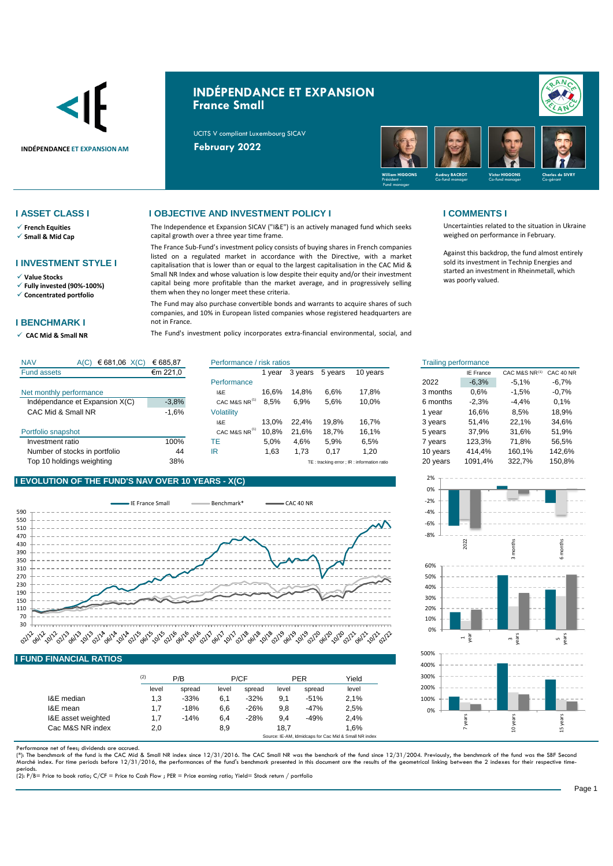

# **INDÉPENDANCE ET EXPANSION France Small**

UCITS V compliant Luxembourg SICAV



- ✓ **French Equities**
- ✓ **Small & Mid Cap**

### **I INVESTMENT STYLE I**

✓ **Value Stocks**

✓ **Fully invested (90%-100%)** ✓ **Concentrated portfolio**

### **I BENCHMARK I**

✓ **CAC Mid & Small NR** 

### **I ASSET CLASS I I OBJECTIVE AND INVESTMENT POLICY I I COMMENTS I**

The Independence et Expansion SICAV ("I&E") is an actively managed fund which seeks capital growth over a three year time frame.

The France Sub-Fund's investment policy consists of buying shares in French companies listed on a regulated market in accordance with the Directive, with a market capitalisation that is lower than or equal to the largest capitalisation in the CAC Mid & Small NR Index and whose valuation is low despite their equity and/or their investment capital being more profitable than the market average, and in progressively selling them when they no longer meet these criteria.

The Fund may also purchase convertible bonds and warrants to acquire shares of such companies, and 10% in European listed companies whose registered headquarters are not in France.

The Fund's investment policy incorporates extra-financial environmental, social, and

Uncertainties related to the situation in Ukraine weighed on performance in February.

Against this backdrop, the fund almost entirely sold its investment in Technip Energies and started an investment in Rheinmetall, which was poorly valued.

| <b>NAV</b><br>€ 681,06 $X(C)$<br>A(C) | € 685,87 | Performance / risk ratios |        |         | <b>Trailing performance</b> |                                            |          |           |               |           |
|---------------------------------------|----------|---------------------------|--------|---------|-----------------------------|--------------------------------------------|----------|-----------|---------------|-----------|
| <b>Fund assets</b>                    | €m 221,0 |                           | 1 vear | 3 years | 5 years                     | 10 years                                   |          | IE France | CAC M&S NR(1) | CAC 40 NF |
|                                       |          | Performance               |        |         |                             |                                            | 2022     | $-6,3%$   | $-5.1%$       | $-6,7%$   |
| Net monthly performance               |          | I&E                       | 16.6%  | 14.8%   | 6.6%                        | 17.8%                                      | 3 months | 0.6%      | $-1,5%$       | $-0.7%$   |
| Indépendance et Expansion X(C)        | $-3,8%$  | CAC M&S NR <sup>14</sup>  | 8,5%   | 6,9%    | 5,6%                        | 10,0%                                      | 6 months | $-2,3%$   | $-4,4%$       | 0.1%      |
| CAC Mid & Small NR                    | $-1,6%$  | <b>Volatility</b>         |        |         |                             |                                            | vear     | 16.6%     | 8.5%          | 18.9%     |
|                                       |          | I&E                       | 13.0%  | 22.4%   | 19.8%                       | 16.7%                                      | 3 years  | 51.4%     | 22.1%         | 34,6%     |
| Portfolio snapshot                    |          | CAC M&S NR <sup>(1)</sup> | 10.8%  | 21.6%   | 18,7%                       | 16.1%                                      | 5 years  | 37.9%     | 31.6%         | 51,9%     |
| Investment ratio                      | 100%     | TE                        | 5,0%   | 4,6%    | 5,9%                        | 6,5%                                       | vears    | 123,3%    | 71.8%         | 56,5%     |
| Number of stocks in portfolio         | 44       | IR                        | 1.63   | 1.73    | 0.17                        | 1,20                                       | 10 years | 414.4%    | 160.1%        | 142,6%    |
| Top 10 holdings weighting             | 38%      |                           |        |         |                             | TE: tracking error ; IR: information ratio | 20 years | 1091,4%   | 322.7%        | 150,8%    |

## **I EVOLUTION OF THE FUND'S NAV OVER 10 YEARS - X(C)**



### **I FUND FINANCIAL RATIOS**

|                    | (2)   | P/B    |       | P/CF   |       | <b>PER</b> | Yield |
|--------------------|-------|--------|-------|--------|-------|------------|-------|
|                    | level | spread | level | spread | level | spread     | level |
| I&E median         | 1,3   | $-33%$ | 6,1   | $-32%$ | 9,1   | $-51%$     | 2.1%  |
| I&E mean           | 1.7   | $-18%$ | 6,6   | $-26%$ | 9,8   | $-47%$     | 2,5%  |
| I&E asset weighted | 1.7   | $-14%$ | 6,4   | $-28%$ | 9.4   | $-49%$     | 2.4%  |
| Cac M&S NR index   | 2,0   |        | 8,9   |        | 18.7  |            | 1.6%  |

Performance net of fees; dividends are accrued.

(\*): The benchmark of the fund is the CAC Mid & Small NR index since 12/31/2016. The CAC Small NR was the benchark of the fund since 12/31/2004. Previously, the benchmark of the fund was the SBF Seconc<br>Marché index. For ti

periods. (2): P/B= Price to book ratio; C/CF = Price to Cash Flow ; PER = Price earning ratio; Yield= Stock return / portfolio

| isk ratios |         |         |          | <b>Trailing performance</b> |                  |                                    |             |
|------------|---------|---------|----------|-----------------------------|------------------|------------------------------------|-------------|
| 1 year     | 3 years | 5 years | 10 years |                             | <b>IE France</b> | CAC M&S NR(1)                      | CAC 40 NR   |
|            |         |         |          | 2022                        | $-6,3%$          | $-5,1%$                            | $-6,7%$     |
| 16,6%      | 14,8%   | 6,6%    | 17,8%    | 3 months                    | 0,6%             | $-1,5%$                            | $-0.7%$     |
| 8,5%       | 6.9%    | 5.6%    | 10,0%    | 6 months                    | $-2.3%$          | $-4.4%$                            | 0.1%        |
|            |         |         |          | 1 year                      | 16.6%            | 8.5%                               | 18,9%       |
| 13,0%      | 22.4%   | 19.8%   | 16,7%    | 3 years                     | 51,4%            | 22.1%                              | 34,6%       |
| 10,8%      | 21,6%   | 18.7%   | 16,1%    | 5 years                     | 37.9%            | 31.6%                              | 51.9%       |
| 5,0%       | 4,6%    | 5,9%    | 6,5%     | 7 years                     | 123,3%           | 71.8%                              | 56,5%       |
| 1,63       | 1,73    | 0,17    | 1,20     | 10 years                    | 414.4%           | 160,1%                             | 142,6%      |
|            |         |         |          | $\sim$ $\sim$ $\sim$        | 10011101         | $\sim$ $\sim$ $\sim$ $\sim$ $\sim$ | $1 - 2 - 2$ |